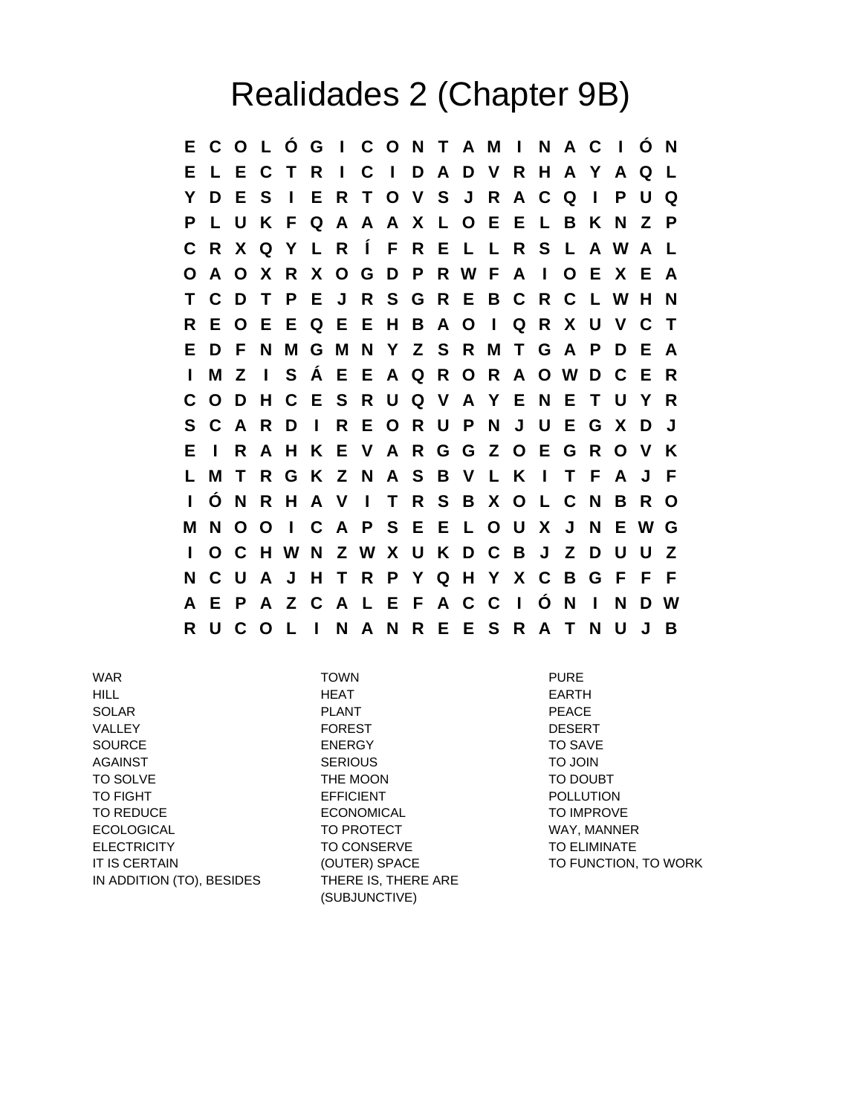## Realidades 2 (Chapter 9B)

**E C O L Ó G I C O N T A M I N A C I Ó N E L E C T R I C I D A D V R H A Y A Q L Y D E S I E R T O V S J R A C Q I P U Q P L U K F Q A A A X L O E E L B K N Z P C R X Q Y L R Í F R E L L R S L A W A L O A O X R X O G D P R W F A I O E X E A T C D T P E J R S G R E B C R C L W H N R E O E E Q E E H B A O I Q R X U V C T E D F N M G M N Y Z S R M T G A P D E A I M Z I S Á E E A Q R O R A O W D C E R C O D H C E S R U Q V A Y E N E T U Y R S C A R D I R E O R U P N J U E G X D J E I R A H K E V A R G G Z O E G R O V K L M T R G K Z N A S B V L K I T F A J F I Ó N R H A V I T R S B X O L C N B R O M N O O I C A P S E E L O U X J N E W G I O C H W N Z W X U K D C B J Z D U U Z N C U A J H T R P Y Q H Y X C B G F F F A E P A Z C A L E F A C C I Ó N I N D W R U C O L I N A N R E E S R A T N U J B**

WAR TOWN PURE HILL HEAT EARTH SOLAR PLANT PEACE VALLEY FOREST DESERT SOURCE ENERGY TO SAVE AGAINST SERIOUS TO JOIN TO SOLVE THE MOON THE MOON TO DOUBT TO FIGHT **EFFICIENT** EFFICIENT **EXAMPLE EXAMPLE EFFICIENT** TO REDUCE **ECONOMICAL** TO IMPROVE ECOLOGICAL TO PROTECT WAY, MANNER ELECTRICITY TO CONSERVE TO CONSERVE TO ELIMINATE IT IS CERTAIN **THE CONTER** (OUTER) SPACE **TO FUNCTION**, TO WORK IN ADDITION (TO), BESIDES THERE IS, THERE ARE

(SUBJUNCTIVE)